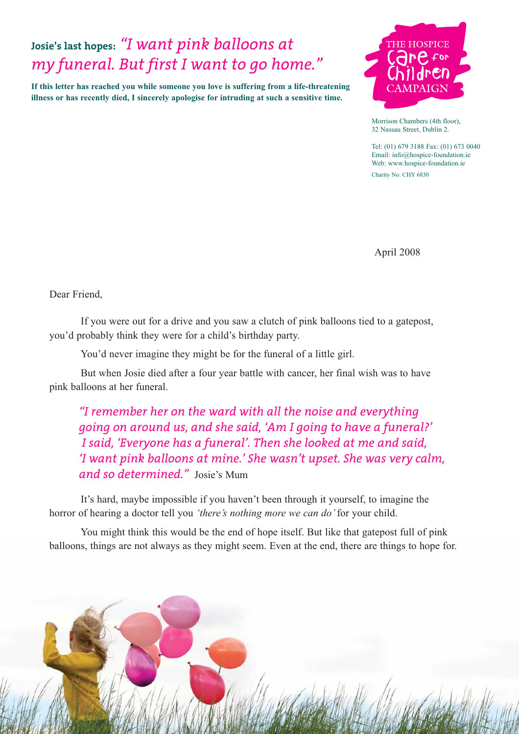# **Josie's last hopes:** *"I want pink balloons at my funeral. But first I want to go home."*

**If this letter has reached you while someone you love is suffering from a life-threatening illness or has recently died, I sincerely apologise for intruding at such a sensitive time.** 



Morrison Chambers (4th floor), 32 Nassau Street, Dublin 2.

Tel: (01) 679 3188 Fax: (01) 673 0040 Email: info@hospice-foundation.ie Web: www.hospice-foundation.ie

Charity No: CHY 6830

April 2008

Dear Friend,

If you were out for a drive and you saw a clutch of pink balloons tied to a gatepost, you'd probably think they were for a child's birthday party.

You'd never imagine they might be for the funeral of a little girl.

But when Josie died after a four year battle with cancer, her final wish was to have pink balloons at her funeral.

*"I remember her on the ward with all the noise and everything going on around us, and she said, 'Am I going to have a funeral?' I said, 'Everyone has a funeral'. Then she looked at me and said, 'I want pink balloons at mine.' She wasn't upset. She was very calm, and so determined."* Josie's Mum

It's hard, maybe impossible if you haven't been through it yourself, to imagine the horror of hearing a doctor tell you *'there's nothing more we can do'*for your child.

You might think this would be the end of hope itself. But like that gatepost full of pink balloons, things are not always as they might seem. Even at the end, there are things to hope for.

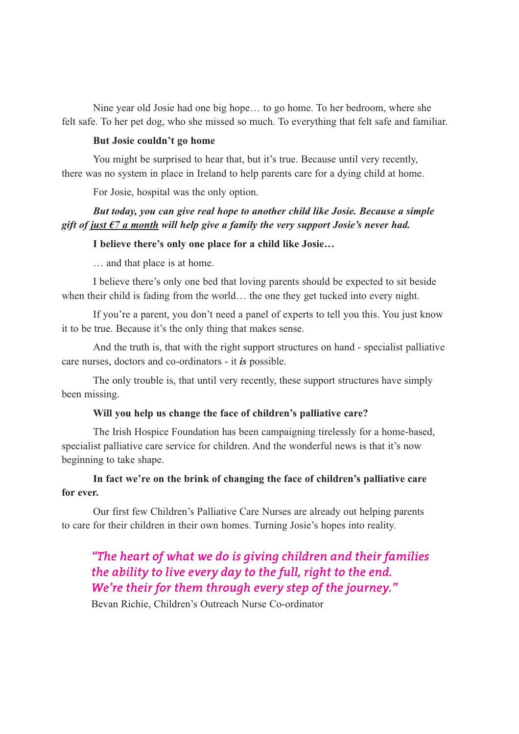Nine year old Josie had one big hope… to go home. To her bedroom, where she felt safe. To her pet dog, who she missed so much. To everything that felt safe and familiar.

#### **But Josie couldn't go home**

You might be surprised to hear that, but it's true. Because until very recently, there was no system in place in Ireland to help parents care for a dying child at home.

For Josie, hospital was the only option.

## *But today, you can give real hope to another child like Josie. Because a simple gift of just €7 a month will help give a family the very support Josie's never had.*

## **I believe there's only one place for a child like Josie…**

… and that place is at home.

I believe there's only one bed that loving parents should be expected to sit beside when their child is fading from the world… the one they get tucked into every night.

If you're a parent, you don't need a panel of experts to tell you this. You just know it to be true. Because it's the only thing that makes sense.

And the truth is, that with the right support structures on hand - specialist palliative care nurses, doctors and co-ordinators - it *is* possible.

The only trouble is, that until very recently, these support structures have simply been missing.

#### **Will you help us change the face of children's palliative care?**

The Irish Hospice Foundation has been campaigning tirelessly for a home-based, specialist palliative care service for children. And the wonderful news is that it's now beginning to take shape.

## **In fact we're on the brink of changing the face of children's palliative care for ever.**

Our first few Children's Palliative Care Nurses are already out helping parents to care for their children in their own homes. Turning Josie's hopes into reality.

## *"The heart of what we do is giving children and their families the ability to live every day to the full, right to the end. We're their for them through every step of the journey."*

Bevan Richie, Children's Outreach Nurse Co-ordinator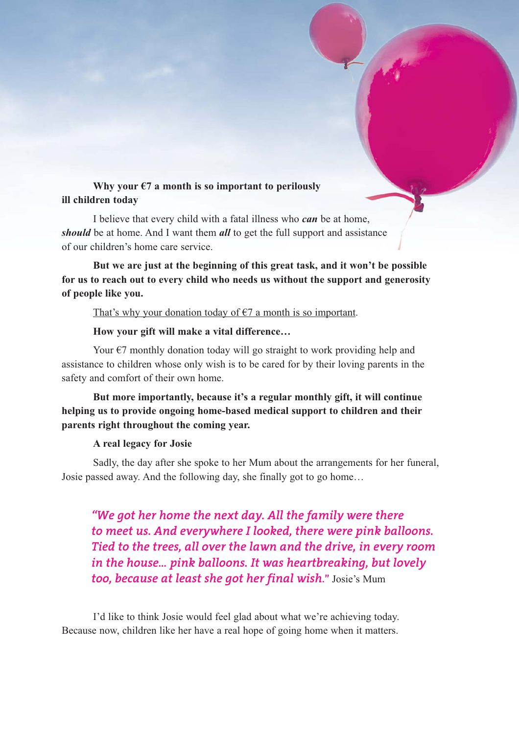## **Why your €7 a month is so important to perilously ill children today**

I believe that every child with a fatal illness who *can* be at home, *should* be at home. And I want them *all* to get the full support and assistance of our children's home care service.

**But we are just at the beginning of this great task, and it won't be possible for us to reach out to every child who needs us without the support and generosity of people like you.**

That's why your donation today of  $\epsilon$ 7 a month is so important.

## **How your gift will make a vital difference…**

Your  $\epsilon$ 7 monthly donation today will go straight to work providing help and assistance to children whose only wish is to be cared for by their loving parents in the safety and comfort of their own home.

## **But more importantly, because it's a regular monthly gift, it will continue helping us to provide ongoing home-based medical support to children and their parents right throughout the coming year.**

### **A real legacy for Josie**

Sadly, the day after she spoke to her Mum about the arrangements for her funeral, Josie passed away. And the following day, she finally got to go home…

*"We got her home the next day. All the family were there to meet us. And everywhere I looked, there were pink balloons. Tied to the trees, all over the lawn and the drive, in every room in the house… pink balloons. It was heartbreaking, but lovely too, because at least she got her final wish***."** Josie's Mum

I'd like to think Josie would feel glad about what we're achieving today. Because now, children like her have a real hope of going home when it matters.